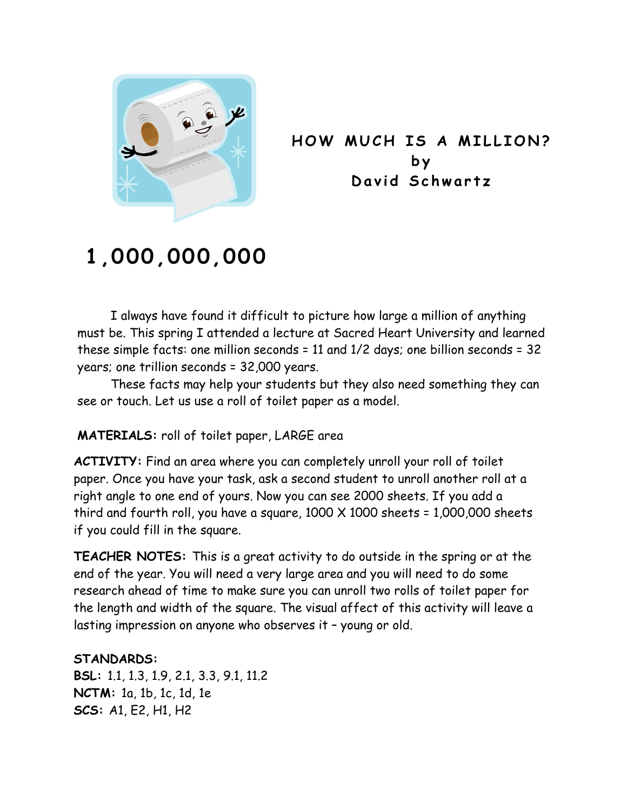

**HOW MUCH IS A MILLION? by David Schwartz** 

## **1,000,000,000**

I always have found it difficult to picture how large a million of anything must be. This spring I attended a lecture at Sacred Heart University and learned these simple facts: one million seconds = 11 and 1/2 days; one billion seconds = 32 years; one trillion seconds = 32,000 years.

 These facts may help your students but they also need something they can see or touch. Let us use a roll of toilet paper as a model.

## **MATERIALS:** roll of toilet paper, LARGE area

**ACTIVITY:** Find an area where you can completely unroll your roll of toilet paper. Once you have your task, ask a second student to unroll another roll at a right angle to one end of yours. Now you can see 2000 sheets. If you add a third and fourth roll, you have a square, 1000 X 1000 sheets = 1,000,000 sheets if you could fill in the square.

**TEACHER NOTES:** This is a great activity to do outside in the spring or at the end of the year. You will need a very large area and you will need to do some research ahead of time to make sure you can unroll two rolls of toilet paper for the length and width of the square. The visual affect of this activity will leave a lasting impression on anyone who observes it – young or old.

## **STANDARDS:**

**BSL:** 1.1, 1.3, 1.9, 2.1, 3.3, 9.1, 11.2 **NCTM:** 1a, 1b, 1c, 1d, 1e **SCS:** A1, E2, H1, H2